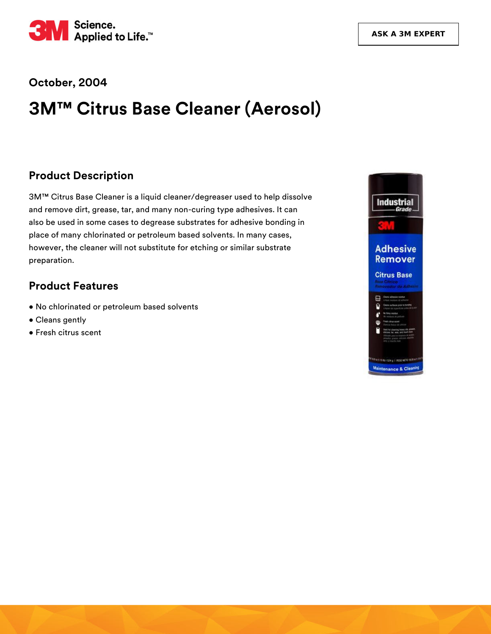

#### **October, 2004**

# **3M™ Citrus Base Cleaner (Aerosol)**

#### **Product Description**

3M™ Citrus Base Cleaner is a liquid cleaner/degreaser used to help dissolve and remove dirt, grease, tar, and many non-curing type adhesives. It can also be used in some cases to degrease substrates for adhesive bonding in place of many chlorinated or petroleum based solvents. In many cases, however, the cleaner will not substitute for etching or similar substrate preparation.

#### **Product Features**

- No chlorinated or petroleum based solvents
- Cleans gently
- Fresh citrus scent

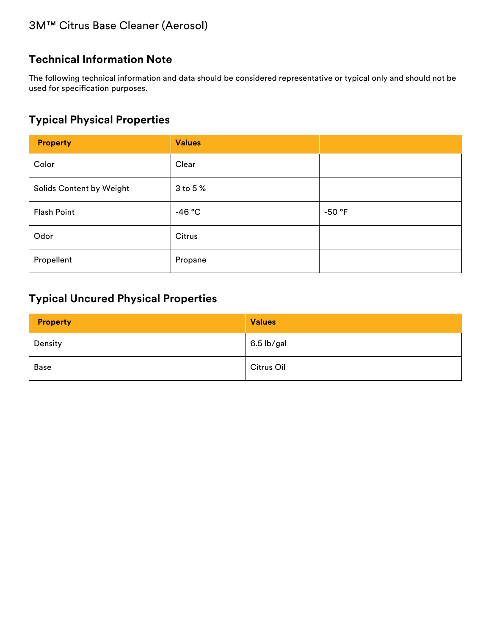### **Technical Information Note**

The following technical information and data should be considered representative or typical only and should not be used for specification purposes.

## **Typical Physical Properties**

| <b>Property</b>          | <b>Values</b> |          |
|--------------------------|---------------|----------|
| Color                    | Clear         |          |
| Solids Content by Weight | 3 to 5 %      |          |
| Flash Point              | $-46 °C$      | $-50$ °F |
| Odor                     | Citrus        |          |
| Propellent               | Propane       |          |

### **Typical Uncured Physical Properties**

| <b>Property</b> | <b>Values</b> |
|-----------------|---------------|
| Density         | 6.5 lb/gal    |
| Base            | Citrus Oil    |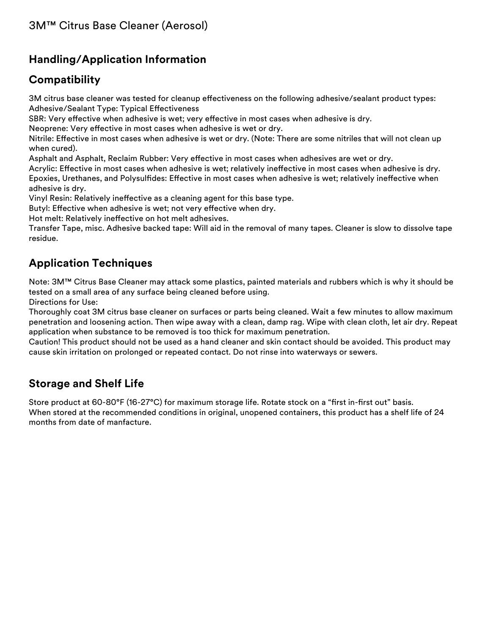## **Handling/Application Information**

### **Compatibility**

3M citrus base cleaner was tested for cleanup effectiveness on the following adhesive/sealant product types: Adhesive/Sealant Type: Typical Effectiveness

SBR: Very effective when adhesive is wet; very effective in most cases when adhesive is dry.

Neoprene: Very effective in most cases when adhesive is wet or dry.

Nitrile: Effective in most cases when adhesive is wet or dry. (Note: There are some nitriles that will not clean up when cured).

Asphalt and Asphalt, Reclaim Rubber: Very effective in most cases when adhesives are wet or dry.

Acrylic: Effective in most cases when adhesive is wet; relatively ineffective in most cases when adhesive is dry. Epoxies, Urethanes, and Polysulfides: Effective in most cases when adhesive is wet; relatively ineffective when adhesive is dry.

Vinyl Resin: Relatively ineffective as a cleaning agent for this base type.

Butyl: Effective when adhesive is wet; not very effective when dry.

Hot melt: Relatively ineffective on hot melt adhesives.

Transfer Tape, misc. Adhesive backed tape: Will aid in the removal of many tapes. Cleaner is slow to dissolve tape residue.

## **Application Techniques**

Note: 3M™ Citrus Base Cleaner may attack some plastics, painted materials and rubbers which is why it should be tested on a small area of any surface being cleaned before using.

Directions for Use:

Thoroughly coat 3M citrus base cleaner on surfaces or parts being cleaned. Wait a few minutes to allow maximum penetration and loosening action. Then wipe away with a clean, damp rag. Wipe with clean cloth, let air dry. Repeat application when substance to be removed is too thick for maximum penetration.

Caution! This product should not be used as a hand cleaner and skin contact should be avoided. This product may cause skin irritation on prolonged or repeated contact. Do not rinse into waterways or sewers.

#### **Storage and Shelf Life**

Store product at 60-80°F (16-27°C) for maximum storage life. Rotate stock on a "first in-first out" basis. When stored at the recommended conditions in original, unopened containers, this product has a shelf life of 24 months from date of manfacture.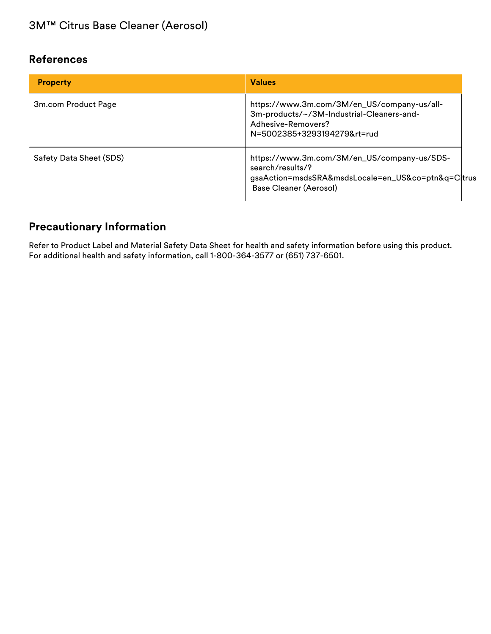#### **References**

| <b>Property</b>         | <b>Values</b>                                                                                                                                   |
|-------------------------|-------------------------------------------------------------------------------------------------------------------------------------------------|
| 3m.com Product Page     | https://www.3m.com/3M/en_US/company-us/all-<br>3m-products/~/3M-Industrial-Cleaners-and-<br>Adhesive-Removers?<br>N=5002385+3293194279&rt=rud   |
| Safety Data Sheet (SDS) | https://www.3m.com/3M/en_US/company-us/SDS-<br>search/results/?<br>gsaAction=msdsSRA&msdsLocale=en_US&co=ptn&q=C trus<br>Base Cleaner (Aerosol) |

# **Precautionary Information**

Refer to Product Label and Material Safety Data Sheet for health and safety information before using this product. For additional health and safety information, call 1-800-364-3577 or (651) 737-6501.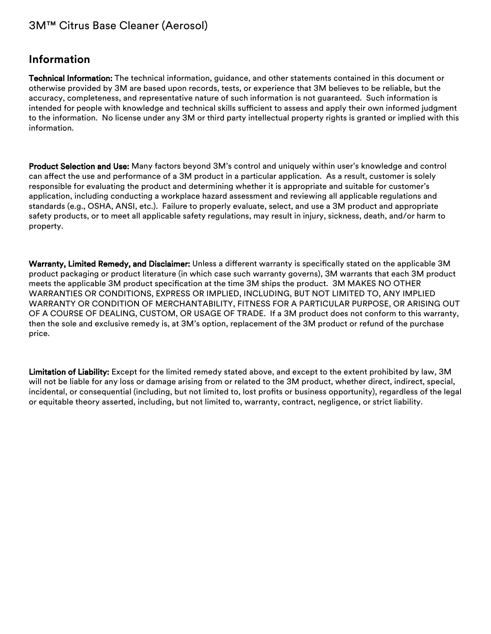#### 3M™ Citrus Base Cleaner (Aerosol)

#### **Information**

Technical Information: The technical information, guidance, and other statements contained in this document or otherwise provided by 3M are based upon records, tests, or experience that 3M believes to be reliable, but the accuracy, completeness, and representative nature of such information is not guaranteed. Such information is intended for people with knowledge and technical skills sufficient to assess and apply their own informed judgment to the information. No license under any 3M or third party intellectual property rights is granted or implied with this information.

Product Selection and Use: Many factors beyond 3M's control and uniquely within user's knowledge and control can affect the use and performance of a 3M product in a particular application. As a result, customer is solely responsible for evaluating the product and determining whether it is appropriate and suitable for customer's application, including conducting a workplace hazard assessment and reviewing all applicable regulations and standards (e.g., OSHA, ANSI, etc.). Failure to properly evaluate, select, and use a 3M product and appropriate safety products, or to meet all applicable safety regulations, may result in injury, sickness, death, and/or harm to property.

Warranty, Limited Remedy, and Disclaimer: Unless a different warranty is specifically stated on the applicable 3M product packaging or product literature (in which case such warranty governs), 3M warrants that each 3M product meets the applicable 3M product specification at the time 3M ships the product. 3M MAKES NO OTHER WARRANTIES OR CONDITIONS, EXPRESS OR IMPLIED, INCLUDING, BUT NOT LIMITED TO, ANY IMPLIED WARRANTY OR CONDITION OF MERCHANTABILITY, FITNESS FOR A PARTICULAR PURPOSE, OR ARISING OUT OF A COURSE OF DEALING, CUSTOM, OR USAGE OF TRADE. If a 3M product does not conform to this warranty, then the sole and exclusive remedy is, at 3M's option, replacement of the 3M product or refund of the purchase price.

Limitation of Liability: Except for the limited remedy stated above, and except to the extent prohibited by law, 3M will not be liable for any loss or damage arising from or related to the 3M product, whether direct, indirect, special, incidental, or consequential (including, but not limited to, lost profits or business opportunity), regardless of the legal or equitable theory asserted, including, but not limited to, warranty, contract, negligence, or strict liability.